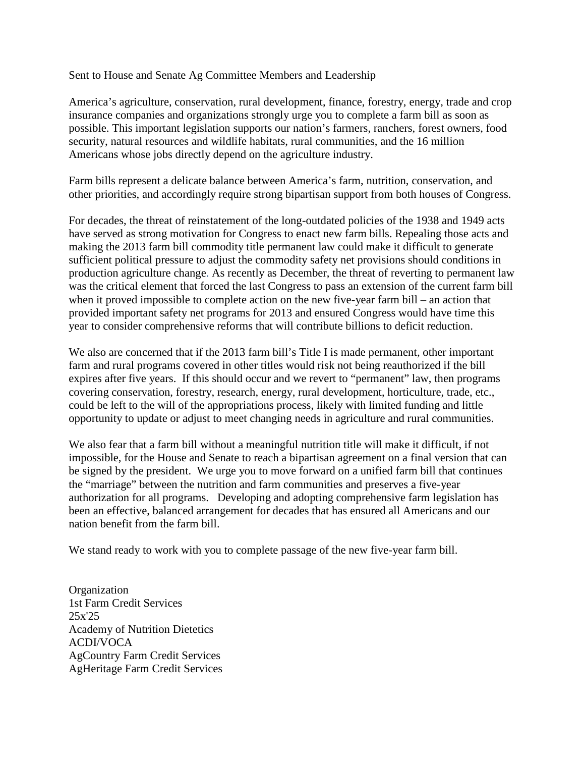Sent to House and Senate Ag Committee Members and Leadership

America's agriculture, conservation, rural development, finance, forestry, energy, trade and crop insurance companies and organizations strongly urge you to complete a farm bill as soon as possible. This important legislation supports our nation's farmers, ranchers, forest owners, food security, natural resources and wildlife habitats, rural communities, and the 16 million Americans whose jobs directly depend on the agriculture industry.

Farm bills represent a delicate balance between America's farm, nutrition, conservation, and other priorities, and accordingly require strong bipartisan support from both houses of Congress.

For decades, the threat of reinstatement of the long-outdated policies of the 1938 and 1949 acts have served as strong motivation for Congress to enact new farm bills. Repealing those acts and making the 2013 farm bill commodity title permanent law could make it difficult to generate sufficient political pressure to adjust the commodity safety net provisions should conditions in production agriculture change. As recently as December, the threat of reverting to permanent law was the critical element that forced the last Congress to pass an extension of the current farm bill when it proved impossible to complete action on the new five-year farm bill – an action that provided important safety net programs for 2013 and ensured Congress would have time this year to consider comprehensive reforms that will contribute billions to deficit reduction.

We also are concerned that if the 2013 farm bill's Title I is made permanent, other important farm and rural programs covered in other titles would risk not being reauthorized if the bill expires after five years. If this should occur and we revert to "permanent" law, then programs covering conservation, forestry, research, energy, rural development, horticulture, trade, etc., could be left to the will of the appropriations process, likely with limited funding and little opportunity to update or adjust to meet changing needs in agriculture and rural communities.

We also fear that a farm bill without a meaningful nutrition title will make it difficult, if not impossible, for the House and Senate to reach a bipartisan agreement on a final version that can be signed by the president. We urge you to move forward on a unified farm bill that continues the "marriage" between the nutrition and farm communities and preserves a five-year authorization for all programs. Developing and adopting comprehensive farm legislation has been an effective, balanced arrangement for decades that has ensured all Americans and our nation benefit from the farm bill.

We stand ready to work with you to complete passage of the new five-year farm bill.

**Organization** 1st Farm Credit Services 25x'25 Academy of Nutrition Dietetics ACDI/VOCA AgCountry Farm Credit Services AgHeritage Farm Credit Services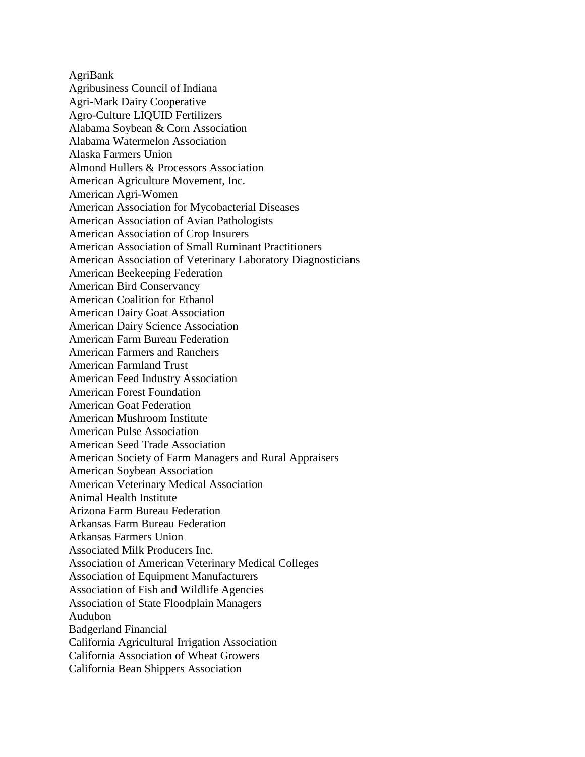AgriBank Agribusiness Council of Indiana Agri-Mark Dairy Cooperative Agro-Culture LIQUID Fertilizers Alabama Soybean & Corn Association Alabama Watermelon Association Alaska Farmers Union Almond Hullers & Processors Association American Agriculture Movement, Inc. American Agri-Women American Association for Mycobacterial Diseases American Association of Avian Pathologists American Association of Crop Insurers American Association of Small Ruminant Practitioners American Association of Veterinary Laboratory Diagnosticians American Beekeeping Federation American Bird Conservancy American Coalition for Ethanol American Dairy Goat Association American Dairy Science Association American Farm Bureau Federation American Farmers and Ranchers American Farmland Trust American Feed Industry Association American Forest Foundation American Goat Federation American Mushroom Institute American Pulse Association American Seed Trade Association American Society of Farm Managers and Rural Appraisers American Soybean Association American Veterinary Medical Association Animal Health Institute Arizona Farm Bureau Federation Arkansas Farm Bureau Federation Arkansas Farmers Union Associated Milk Producers Inc. Association of American Veterinary Medical Colleges Association of Equipment Manufacturers Association of Fish and Wildlife Agencies Association of State Floodplain Managers Audubon Badgerland Financial California Agricultural Irrigation Association California Association of Wheat Growers California Bean Shippers Association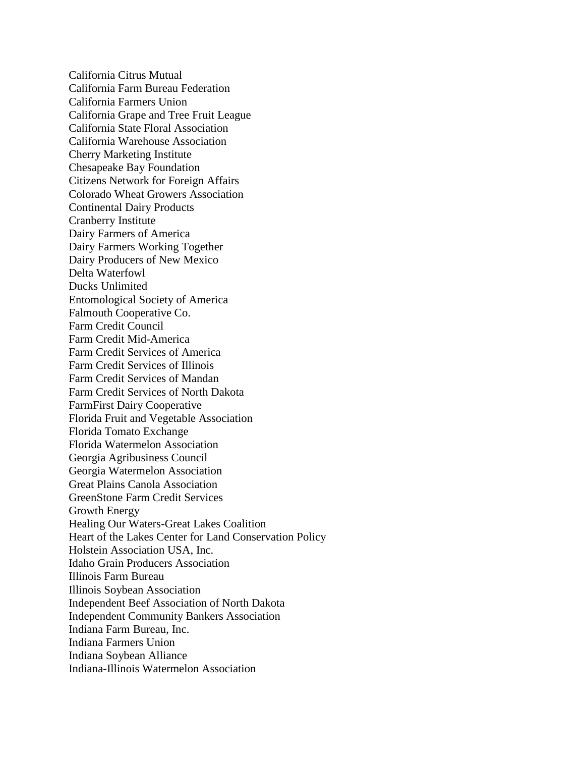California Citrus Mutual California Farm Bureau Federation California Farmers Union California Grape and Tree Fruit League California State Floral Association California Warehouse Association Cherry Marketing Institute Chesapeake Bay Foundation Citizens Network for Foreign Affairs Colorado Wheat Growers Association Continental Dairy Products Cranberry Institute Dairy Farmers of America Dairy Farmers Working Together Dairy Producers of New Mexico Delta Waterfowl Ducks Unlimited Entomological Society of America Falmouth Cooperative Co. Farm Credit Council Farm Credit Mid-America Farm Credit Services of America Farm Credit Services of Illinois Farm Credit Services of Mandan Farm Credit Services of North Dakota FarmFirst Dairy Cooperative Florida Fruit and Vegetable Association Florida Tomato Exchange Florida Watermelon Association Georgia Agribusiness Council Georgia Watermelon Association Great Plains Canola Association GreenStone Farm Credit Services Growth Energy Healing Our Waters-Great Lakes Coalition Heart of the Lakes Center for Land Conservation Policy Holstein Association USA, Inc. Idaho Grain Producers Association Illinois Farm Bureau Illinois Soybean Association Independent Beef Association of North Dakota Independent Community Bankers Association Indiana Farm Bureau, Inc. Indiana Farmers Union Indiana Soybean Alliance Indiana-Illinois Watermelon Association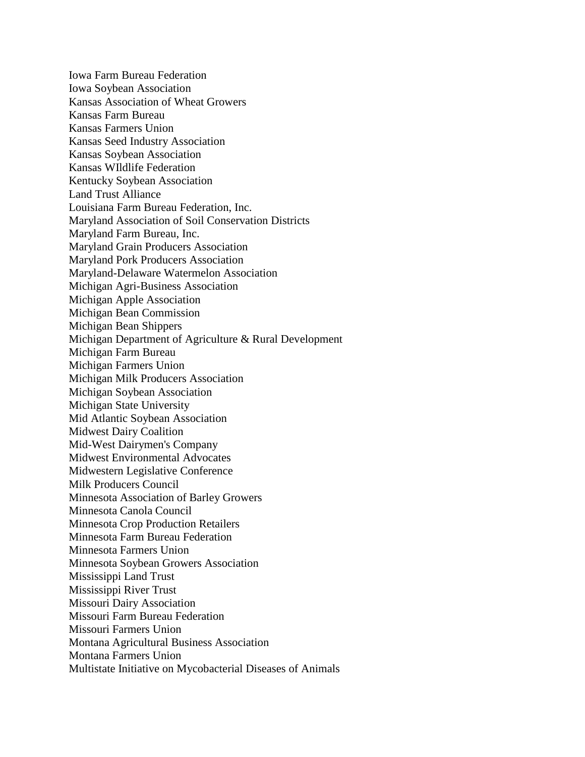Iowa Farm Bureau Federation Iowa Soybean Association Kansas Association of Wheat Growers Kansas Farm Bureau Kansas Farmers Union Kansas Seed Industry Association Kansas Soybean Association Kansas WIldlife Federation Kentucky Soybean Association Land Trust Alliance Louisiana Farm Bureau Federation, Inc. Maryland Association of Soil Conservation Districts Maryland Farm Bureau, Inc. Maryland Grain Producers Association Maryland Pork Producers Association Maryland-Delaware Watermelon Association Michigan Agri-Business Association Michigan Apple Association Michigan Bean Commission Michigan Bean Shippers Michigan Department of Agriculture & Rural Development Michigan Farm Bureau Michigan Farmers Union Michigan Milk Producers Association Michigan Soybean Association Michigan State University Mid Atlantic Soybean Association Midwest Dairy Coalition Mid-West Dairymen's Company Midwest Environmental Advocates Midwestern Legislative Conference Milk Producers Council Minnesota Association of Barley Growers Minnesota Canola Council Minnesota Crop Production Retailers Minnesota Farm Bureau Federation Minnesota Farmers Union Minnesota Soybean Growers Association Mississippi Land Trust Mississippi River Trust Missouri Dairy Association Missouri Farm Bureau Federation Missouri Farmers Union Montana Agricultural Business Association Montana Farmers Union Multistate Initiative on Mycobacterial Diseases of Animals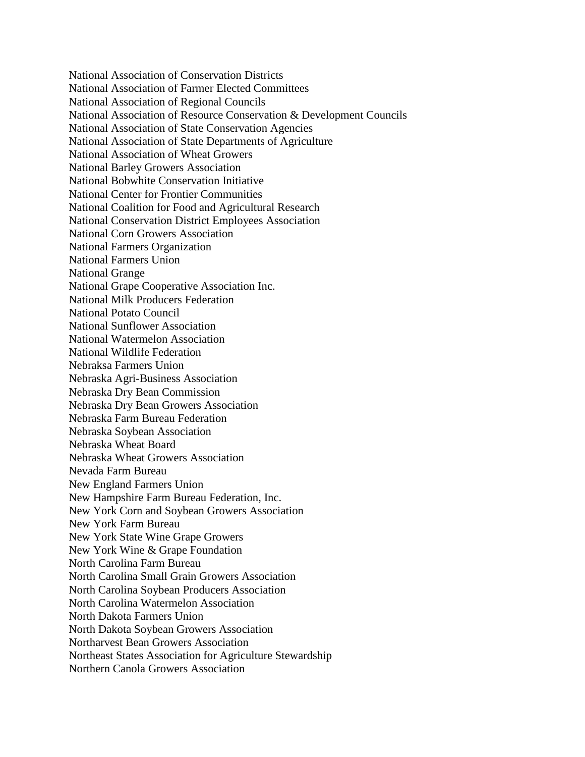National Association of Conservation Districts National Association of Farmer Elected Committees National Association of Regional Councils National Association of Resource Conservation & Development Councils National Association of State Conservation Agencies National Association of State Departments of Agriculture National Association of Wheat Growers National Barley Growers Association National Bobwhite Conservation Initiative National Center for Frontier Communities National Coalition for Food and Agricultural Research National Conservation District Employees Association National Corn Growers Association National Farmers Organization National Farmers Union National Grange National Grape Cooperative Association Inc. National Milk Producers Federation National Potato Council National Sunflower Association National Watermelon Association National Wildlife Federation Nebraksa Farmers Union Nebraska Agri-Business Association Nebraska Dry Bean Commission Nebraska Dry Bean Growers Association Nebraska Farm Bureau Federation Nebraska Soybean Association Nebraska Wheat Board Nebraska Wheat Growers Association Nevada Farm Bureau New England Farmers Union New Hampshire Farm Bureau Federation, Inc. New York Corn and Soybean Growers Association New York Farm Bureau New York State Wine Grape Growers New York Wine & Grape Foundation North Carolina Farm Bureau North Carolina Small Grain Growers Association North Carolina Soybean Producers Association North Carolina Watermelon Association North Dakota Farmers Union North Dakota Soybean Growers Association Northarvest Bean Growers Association Northeast States Association for Agriculture Stewardship Northern Canola Growers Association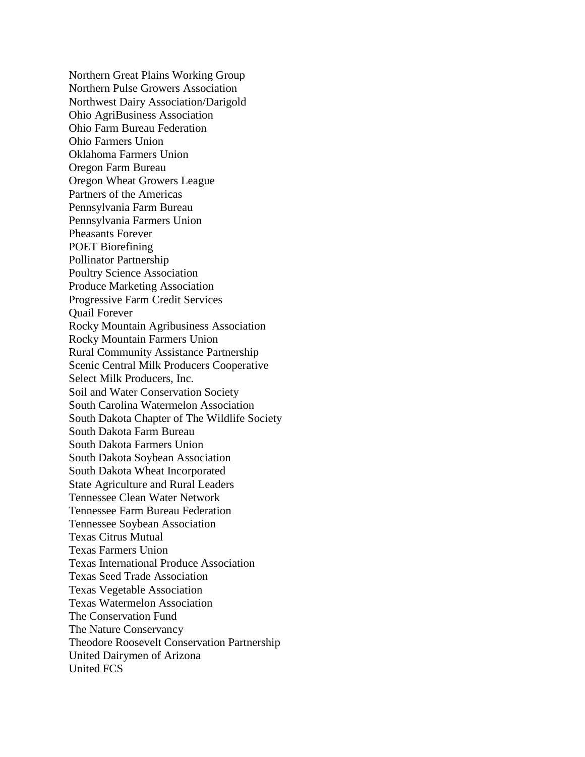Northern Great Plains Working Group Northern Pulse Growers Association Northwest Dairy Association/Darigold Ohio AgriBusiness Association Ohio Farm Bureau Federation Ohio Farmers Union Oklahoma Farmers Union Oregon Farm Bureau Oregon Wheat Growers League Partners of the Americas Pennsylvania Farm Bureau Pennsylvania Farmers Union Pheasants Forever POET Biorefining Pollinator Partnership Poultry Science Association Produce Marketing Association Progressive Farm Credit Services Quail Forever Rocky Mountain Agribusiness Association Rocky Mountain Farmers Union Rural Community Assistance Partnership Scenic Central Milk Producers Cooperative Select Milk Producers, Inc. Soil and Water Conservation Society South Carolina Watermelon Association South Dakota Chapter of The Wildlife Society South Dakota Farm Bureau South Dakota Farmers Union South Dakota Soybean Association South Dakota Wheat Incorporated State Agriculture and Rural Leaders Tennessee Clean Water Network Tennessee Farm Bureau Federation Tennessee Soybean Association Texas Citrus Mutual Texas Farmers Union Texas International Produce Association Texas Seed Trade Association Texas Vegetable Association Texas Watermelon Association The Conservation Fund The Nature Conservancy Theodore Roosevelt Conservation Partnership United Dairymen of Arizona United FCS